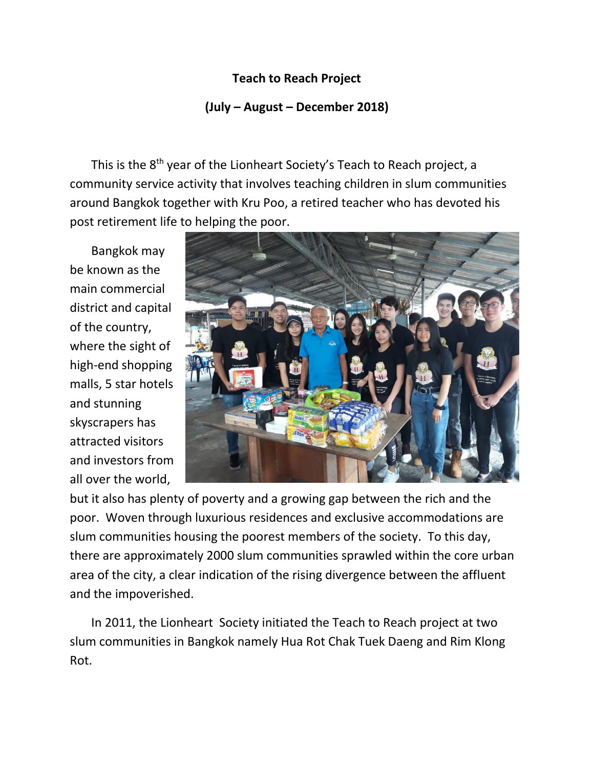## **Teach to Reach Project**

## **(July – August – December 2018)**

This is the 8<sup>th</sup> year of the Lionheart Society's Teach to Reach project, a community service activity that involves teaching children in slum communities around Bangkok together with Kru Poo, a retired teacher who has devoted his post retirement life to helping the poor.

 Bangkok may be known as the main commercial district and capital of the country, where the sight of high-end shopping malls, 5 star hotels and stunning skyscrapers has attracted visitors and investors from all over the world,



but it also has plenty of poverty and a growing gap between the rich and the poor. Woven through luxurious residences and exclusive accommodations are slum communities housing the poorest members of the society. To this day, there are approximately 2000 slum communities sprawled within the core urban area of the city, a clear indication of the rising divergence between the affluent and the impoverished.

 In 2011, the Lionheart Society initiated the Teach to Reach project at two slum communities in Bangkok namely Hua Rot Chak Tuek Daeng and Rim Klong Rot.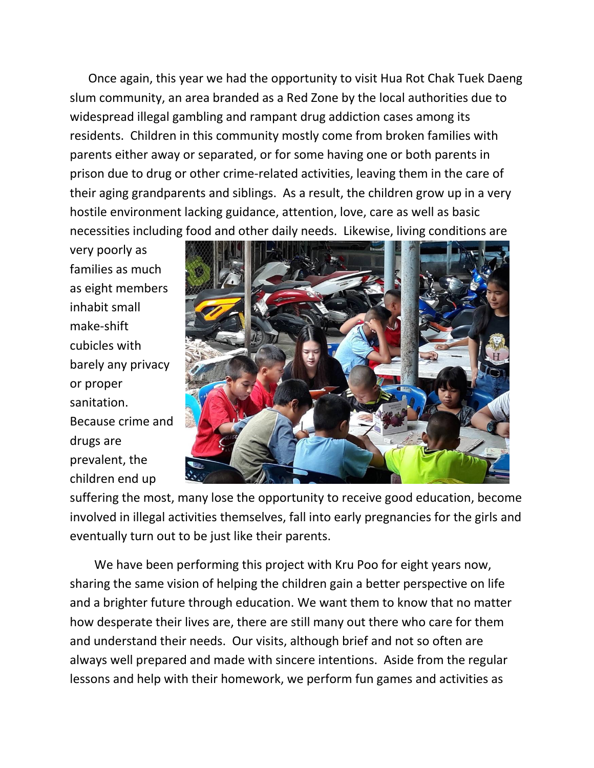Once again, this year we had the opportunity to visit Hua Rot Chak Tuek Daeng slum community, an area branded as a Red Zone by the local authorities due to widespread illegal gambling and rampant drug addiction cases among its residents. Children in this community mostly come from broken families with parents either away or separated, or for some having one or both parents in prison due to drug or other crime-related activities, leaving them in the care of their aging grandparents and siblings. As a result, the children grow up in a very hostile environment lacking guidance, attention, love, care as well as basic necessities including food and other daily needs. Likewise, living conditions are

very poorly as families as much as eight members inhabit small make-shift cubicles with barely any privacy or proper sanitation. Because crime and drugs are prevalent, the children end up



suffering the most, many lose the opportunity to receive good education, become involved in illegal activities themselves, fall into early pregnancies for the girls and eventually turn out to be just like their parents.

 We have been performing this project with Kru Poo for eight years now, sharing the same vision of helping the children gain a better perspective on life and a brighter future through education. We want them to know that no matter how desperate their lives are, there are still many out there who care for them and understand their needs. Our visits, although brief and not so often are always well prepared and made with sincere intentions. Aside from the regular lessons and help with their homework, we perform fun games and activities as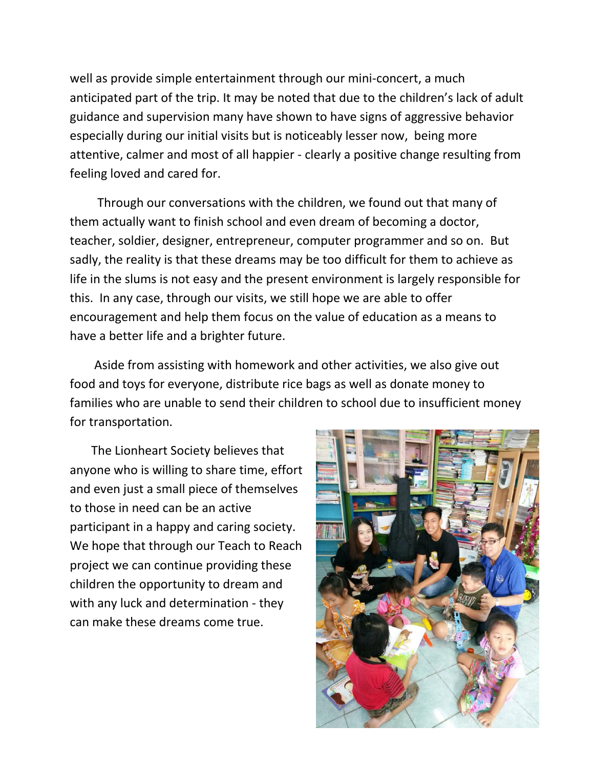well as provide simple entertainment through our mini-concert, a much anticipated part of the trip. It may be noted that due to the children's lack of adult guidance and supervision many have shown to have signs of aggressive behavior especially during our initial visits but is noticeably lesser now, being more attentive, calmer and most of all happier - clearly a positive change resulting from feeling loved and cared for.

 Through our conversations with the children, we found out that many of them actually want to finish school and even dream of becoming a doctor, teacher, soldier, designer, entrepreneur, computer programmer and so on. But sadly, the reality is that these dreams may be too difficult for them to achieve as life in the slums is not easy and the present environment is largely responsible for this. In any case, through our visits, we still hope we are able to offer encouragement and help them focus on the value of education as a means to have a better life and a brighter future.

 Aside from assisting with homework and other activities, we also give out food and toys for everyone, distribute rice bags as well as donate money to families who are unable to send their children to school due to insufficient money for transportation.

 The Lionheart Society believes that anyone who is willing to share time, effort and even just a small piece of themselves to those in need can be an active participant in a happy and caring society. We hope that through our Teach to Reach project we can continue providing these children the opportunity to dream and with any luck and determination - they can make these dreams come true.